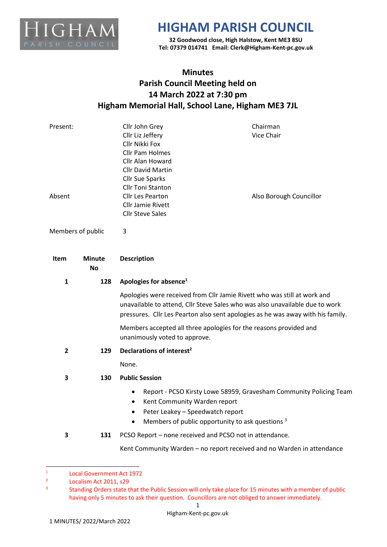

**32 Goodwood close, High Halstow, Kent ME3 8SU Tel: 07379 014741 Email: Clerk@Higham-Kent-pc.gov.uk**

### **Minutes Parish Council Meeting held on 14 March 2022 at 7:30 pm Higham Memorial Hall, School Lane, Higham ME3 7JL**

| Present:     |                            | Cllr John Grey<br>Cllr Liz Jeffery<br>Cllr Nikki Fox<br><b>Cllr Pam Holmes</b><br>Cllr Alan Howard<br><b>Cllr David Martin</b><br><b>Cllr Sue Sparks</b> | Chairman<br>Vice Chair                                                                                                                                                                                                                      |
|--------------|----------------------------|----------------------------------------------------------------------------------------------------------------------------------------------------------|---------------------------------------------------------------------------------------------------------------------------------------------------------------------------------------------------------------------------------------------|
| Absent       |                            | <b>Cllr Toni Stanton</b><br><b>Cllr Les Pearton</b><br><b>Cllr Jamie Rivett</b><br><b>Cllr Steve Sales</b>                                               | Also Borough Councillor                                                                                                                                                                                                                     |
|              | Members of public          | 3                                                                                                                                                        |                                                                                                                                                                                                                                             |
| Item         | <b>Minute</b><br><b>No</b> | <b>Description</b>                                                                                                                                       |                                                                                                                                                                                                                                             |
| $\mathbf{1}$ | 128                        | Apologies for absence <sup>1</sup>                                                                                                                       |                                                                                                                                                                                                                                             |
|              |                            |                                                                                                                                                          | Apologies were received from Cllr Jamie Rivett who was still at work and<br>unavailable to attend, Cllr Steve Sales who was also unavailable due to work<br>pressures. Cllr Les Pearton also sent apologies as he was away with his family. |
|              |                            | unanimously voted to approve.                                                                                                                            | Members accepted all three apologies for the reasons provided and                                                                                                                                                                           |
| $\mathbf{2}$ | 129                        | Declarations of interest <sup>2</sup>                                                                                                                    |                                                                                                                                                                                                                                             |
|              |                            | None.                                                                                                                                                    |                                                                                                                                                                                                                                             |
| 3            | 130                        | <b>Public Session</b>                                                                                                                                    |                                                                                                                                                                                                                                             |
|              |                            | $\bullet$<br>Kent Community Warden report<br>Peter Leakey - Speedwatch report<br>$\bullet$                                                               | Report - PCSO Kirsty Lowe 58959, Gravesham Community Policing Team<br>Members of public opportunity to ask questions 3                                                                                                                      |
| 3            | 131                        | PCSO Report - none received and PCSO not in attendance.                                                                                                  |                                                                                                                                                                                                                                             |
|              |                            |                                                                                                                                                          | Kent Community Warden - no report received and no Warden in attendance                                                                                                                                                                      |
|              |                            |                                                                                                                                                          |                                                                                                                                                                                                                                             |

<sup>1</sup> Local Government Act 1972

<sup>2</sup> Localism Act 2011, s29

<sup>3</sup> Standing Orders state that the Public Session will only take place for 15 minutes with a member of public having only 5 minutes to ask their question. Councillors are not obliged to answer immediately.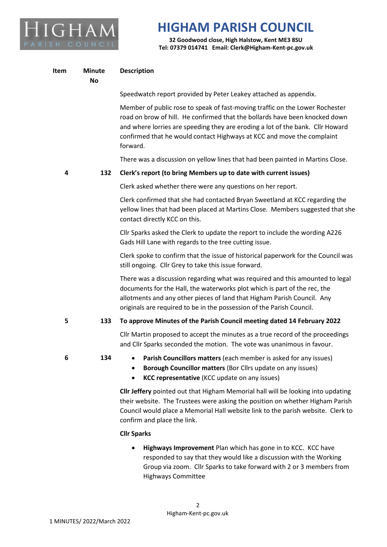

**32 Goodwood close, High Halstow, Kent ME3 8SU Tel: 07379 014741 Email: Clerk@Higham-Kent-pc.gov.uk**

| Item | <b>Minute</b> | <b>Description</b> |
|------|---------------|--------------------|
|      | N٥            |                    |

Speedwatch report provided by Peter Leakey attached as appendix.

Member of public rose to speak of fast-moving traffic on the Lower Rochester road on brow of hill. He confirmed that the bollards have been knocked down and where lorries are speeding they are eroding a lot of the bank. Cllr Howard confirmed that he would contact Highways at KCC and move the complaint forward.

There was a discussion on yellow lines that had been painted in Martins Close.

#### **4 132 Clerk's report (to bring Members up to date with current issues)**

Clerk asked whether there were any questions on her report.

Clerk confirmed that she had contacted Bryan Sweetland at KCC regarding the yellow lines that had been placed at Martins Close. Members suggested that she contact directly KCC on this.

Cllr Sparks asked the Clerk to update the report to include the wording A226 Gads Hill Lane with regards to the tree cutting issue.

Clerk spoke to confirm that the issue of historical paperwork for the Council was still ongoing. Cllr Grey to take this issue forward.

There was a discussion regarding what was required and this amounted to legal documents for the Hall, the waterworks plot which is part of the rec, the allotments and any other pieces of land that Higham Parish Council. Any originals are required to be in the possession of the Parish Council.

#### **5 133 To approve Minutes of the Parish Council meeting dated 14 February 2022**

Cllr Martin proposed to accept the minutes as a true record of the proceedings and Cllr Sparks seconded the motion. The vote was unanimous in favour.

- **6 134 Parish Councillors matters** (each member is asked for any issues)
	- **Borough Councillor matters** (Bor Cllrs update on any issues)
	- **KCC representative** (KCC update on any issues)

**Cllr Jeffery** pointed out that Higham Memorial hall will be looking into updating their website. The Trustees were asking the position on whether Higham Parish Council would place a Memorial Hall website link to the parish website. Clerk to confirm and place the link.

#### **Cllr Sparks**

• **Highways Improvement** Plan which has gone in to KCC. KCC have responded to say that they would like a discussion with the Working Group via zoom. Cllr Sparks to take forward with 2 or 3 members from Highways Committee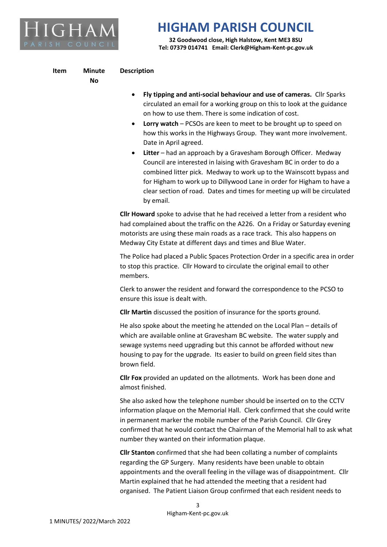

**32 Goodwood close, High Halstow, Kent ME3 8SU Tel: 07379 014741 Email: Clerk@Higham-Kent-pc.gov.uk**

| Item | <b>Minute</b> | <b>Description</b> |
|------|---------------|--------------------|
|      | Nο            |                    |

• **Fly tipping and anti-social behaviour and use of cameras.** Cllr Sparks circulated an email for a working group on this to look at the guidance on how to use them. There is some indication of cost.

- **Lorry watch** PCSOs are keen to meet to be brought up to speed on how this works in the Highways Group. They want more involvement. Date in April agreed.
- **Litter** had an approach by a Gravesham Borough Officer. Medway Council are interested in laising with Gravesham BC in order to do a combined litter pick. Medway to work up to the Wainscott bypass and for Higham to work up to Dillywood Lane in order for Higham to have a clear section of road. Dates and times for meeting up will be circulated by email.

**Cllr Howard** spoke to advise that he had received a letter from a resident who had complained about the traffic on the A226. On a Friday or Saturday evening motorists are using these main roads as a race track. This also happens on Medway City Estate at different days and times and Blue Water.

The Police had placed a Public Spaces Protection Order in a specific area in order to stop this practice. Cllr Howard to circulate the original email to other members.

Clerk to answer the resident and forward the correspondence to the PCSO to ensure this issue is dealt with.

**Cllr Martin** discussed the position of insurance for the sports ground.

He also spoke about the meeting he attended on the Local Plan – details of which are available online at Gravesham BC website. The water supply and sewage systems need upgrading but this cannot be afforded without new housing to pay for the upgrade. Its easier to build on green field sites than brown field.

**Cllr Fox** provided an updated on the allotments. Work has been done and almost finished.

She also asked how the telephone number should be inserted on to the CCTV information plaque on the Memorial Hall. Clerk confirmed that she could write in permanent marker the mobile number of the Parish Council. Cllr Grey confirmed that he would contact the Chairman of the Memorial hall to ask what number they wanted on their information plaque.

**Cllr Stanton** confirmed that she had been collating a number of complaints regarding the GP Surgery. Many residents have been unable to obtain appointments and the overall feeling in the village was of disappointment. Cllr Martin explained that he had attended the meeting that a resident had organised. The Patient Liaison Group confirmed that each resident needs to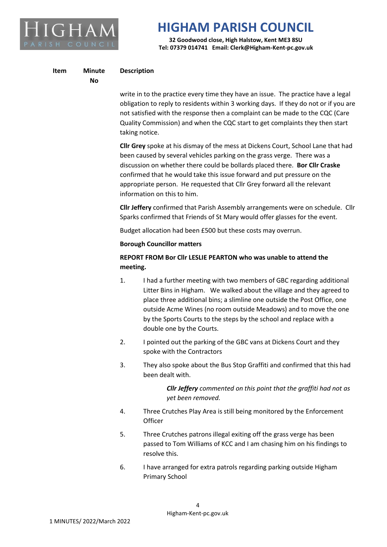

**32 Goodwood close, High Halstow, Kent ME3 8SU Tel: 07379 014741 Email: Clerk@Higham-Kent-pc.gov.uk**

#### **Item Minute No Description**

write in to the practice every time they have an issue. The practice have a legal obligation to reply to residents within 3 working days. If they do not or if you are not satisfied with the response then a complaint can be made to the CQC (Care Quality Commission) and when the CQC start to get complaints they then start taking notice.

**Cllr Grey** spoke at his dismay of the mess at Dickens Court, School Lane that had been caused by several vehicles parking on the grass verge. There was a discussion on whether there could be bollards placed there. **Bor Cllr Craske** confirmed that he would take this issue forward and put pressure on the appropriate person. He requested that Cllr Grey forward all the relevant information on this to him.

**Cllr Jeffery** confirmed that Parish Assembly arrangements were on schedule. Cllr Sparks confirmed that Friends of St Mary would offer glasses for the event.

Budget allocation had been £500 but these costs may overrun.

### **Borough Councillor matters**

### **REPORT FROM Bor Cllr LESLIE PEARTON who was unable to attend the meeting.**

- 1. I had a further meeting with two members of GBC regarding additional Litter Bins in Higham. We walked about the village and they agreed to place three additional bins; a slimline one outside the Post Office, one outside Acme Wines (no room outside Meadows) and to move the one by the Sports Courts to the steps by the school and replace with a double one by the Courts.
- 2. I pointed out the parking of the GBC vans at Dickens Court and they spoke with the Contractors
- 3. They also spoke about the Bus Stop Graffiti and confirmed that this had been dealt with.

*Cllr Jeffery commented on this point that the graffiti had not as yet been removed.*

- 4. Three Crutches Play Area is still being monitored by the Enforcement **Officer**
- 5. Three Crutches patrons illegal exiting off the grass verge has been passed to Tom Williams of KCC and I am chasing him on his findings to resolve this.
- 6. I have arranged for extra patrols regarding parking outside Higham Primary School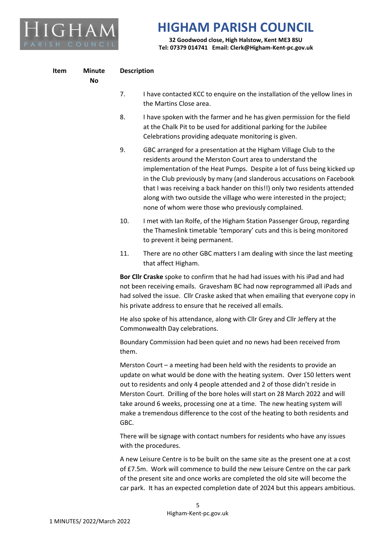

**32 Goodwood close, High Halstow, Kent ME3 8SU Tel: 07379 014741 Email: Clerk@Higham-Kent-pc.gov.uk**

| Item | <b>Minute</b><br><b>No</b> | <b>Description</b> |                                                                                                                                                                                                                                                                                                                                                                                                                                                                                                  |  |
|------|----------------------------|--------------------|--------------------------------------------------------------------------------------------------------------------------------------------------------------------------------------------------------------------------------------------------------------------------------------------------------------------------------------------------------------------------------------------------------------------------------------------------------------------------------------------------|--|
|      |                            | 7.                 | I have contacted KCC to enquire on the installation of the yellow lines in<br>the Martins Close area.                                                                                                                                                                                                                                                                                                                                                                                            |  |
|      |                            | 8.                 | I have spoken with the farmer and he has given permission for the field<br>at the Chalk Pit to be used for additional parking for the Jubilee<br>Celebrations providing adequate monitoring is given.                                                                                                                                                                                                                                                                                            |  |
|      |                            | 9.                 | GBC arranged for a presentation at the Higham Village Club to the<br>residents around the Merston Court area to understand the<br>implementation of the Heat Pumps. Despite a lot of fuss being kicked up<br>in the Club previously by many (and slanderous accusations on Facebook<br>that I was receiving a back hander on this!!) only two residents attended<br>along with two outside the village who were interested in the project;<br>none of whom were those who previously complained. |  |
|      |                            | 10.                | I met with Ian Rolfe, of the Higham Station Passenger Group, regarding<br>the Thameslink timetable 'temporary' cuts and this is being monitored<br>to prevent it being permanent.                                                                                                                                                                                                                                                                                                                |  |
|      |                            | 11.                | There are no other GBC matters I am dealing with since the last meeting<br>that affect Higham.                                                                                                                                                                                                                                                                                                                                                                                                   |  |
|      |                            |                    | Bor Cllr Craske spoke to confirm that he had had issues with his iPad and had<br>not been receiving emails. Gravesham BC had now reprogrammed all iPads and<br>had solved the issue. Cllr Craske asked that when emailing that everyone copy in<br>his private address to ensure that he received all emails.                                                                                                                                                                                    |  |
|      |                            |                    | He also spoke of his attendance, along with Cllr Grey and Cllr Jeffery at the<br>Commonwealth Day celebrations.                                                                                                                                                                                                                                                                                                                                                                                  |  |
|      |                            | them.              | Boundary Commission had been quiet and no news had been received from                                                                                                                                                                                                                                                                                                                                                                                                                            |  |
|      |                            |                    | Merston Court $-$ a meeting had been held with the residents to provide an<br>update on what would be done with the heating system. Over 150 letters went<br>out to residents and only 4 people attended and 2 of those didn't reside in<br>Merston Court. Drilling of the bore holes will start on 28 March 2022 and will<br>take around 6 weeks, processing one at a time. The new heating system will<br>make a tremendous difference to the cost of the heating to both residents and        |  |

There will be signage with contact numbers for residents who have any issues with the procedures.

A new Leisure Centre is to be built on the same site as the present one at a cost of £7.5m. Work will commence to build the new Leisure Centre on the car park of the present site and once works are completed the old site will become the car park. It has an expected completion date of 2024 but this appears ambitious.

GBC.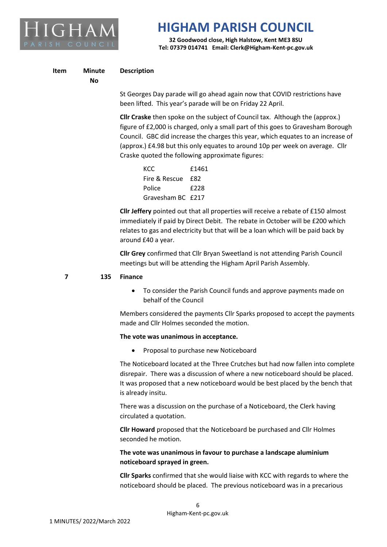

**32 Goodwood close, High Halstow, Kent ME3 8SU Tel: 07379 014741 Email: Clerk@Higham-Kent-pc.gov.uk**

#### **Item Minute Description**

**No**

St Georges Day parade will go ahead again now that COVID restrictions have been lifted. This year's parade will be on Friday 22 April.

**Cllr Craske** then spoke on the subject of Council tax. Although the (approx.) figure of £2,000 is charged, only a small part of this goes to Gravesham Borough Council. GBC did increase the charges this year, which equates to an increase of (approx.) £4.98 but this only equates to around 10p per week on average. Cllr Craske quoted the following approximate figures:

| KCC               | £1461 |
|-------------------|-------|
| Fire & Rescue     | £82   |
| Police            | f228  |
| Gravesham BC £217 |       |

**Cllr Jeffery** pointed out that all properties will receive a rebate of £150 almost immediately if paid by Direct Debit. The rebate in October will be £200 which relates to gas and electricity but that will be a loan which will be paid back by around £40 a year.

**Cllr Grey** confirmed that Cllr Bryan Sweetland is not attending Parish Council meetings but will be attending the Higham April Parish Assembly.

#### **7 135 Finance**

• To consider the Parish Council funds and approve payments made on behalf of the Council

Members considered the payments Cllr Sparks proposed to accept the payments made and Cllr Holmes seconded the motion.

#### **The vote was unanimous in acceptance.**

• Proposal to purchase new Noticeboard

The Noticeboard located at the Three Crutches but had now fallen into complete disrepair. There was a discussion of where a new noticeboard should be placed. It was proposed that a new noticeboard would be best placed by the bench that is already insitu.

There was a discussion on the purchase of a Noticeboard, the Clerk having circulated a quotation.

**Cllr Howard** proposed that the Noticeboard be purchased and Cllr Holmes seconded he motion.

**The vote was unanimous in favour to purchase a landscape aluminium noticeboard sprayed in green.**

**Cllr Sparks** confirmed that she would liaise with KCC with regards to where the noticeboard should be placed. The previous noticeboard was in a precarious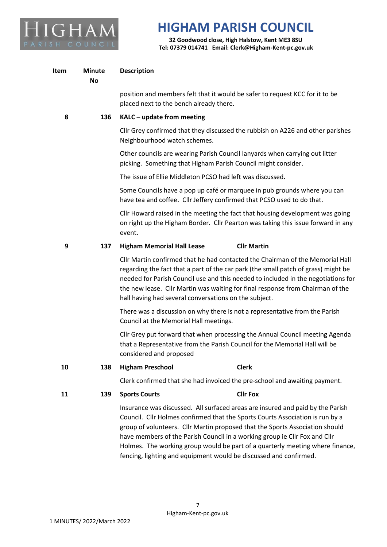

**32 Goodwood close, High Halstow, Kent ME3 8SU Tel: 07379 014741 Email: Clerk@Higham-Kent-pc.gov.uk**

| Item | <b>Minute</b><br><b>No</b> | <b>Description</b>                                                                                                                                                                                                                                                                                                                                                                                                                                                                  |
|------|----------------------------|-------------------------------------------------------------------------------------------------------------------------------------------------------------------------------------------------------------------------------------------------------------------------------------------------------------------------------------------------------------------------------------------------------------------------------------------------------------------------------------|
|      |                            | position and members felt that it would be safer to request KCC for it to be<br>placed next to the bench already there.                                                                                                                                                                                                                                                                                                                                                             |
| 8    | 136                        | KALC - update from meeting                                                                                                                                                                                                                                                                                                                                                                                                                                                          |
|      |                            | Cllr Grey confirmed that they discussed the rubbish on A226 and other parishes<br>Neighbourhood watch schemes.                                                                                                                                                                                                                                                                                                                                                                      |
|      |                            | Other councils are wearing Parish Council lanyards when carrying out litter<br>picking. Something that Higham Parish Council might consider.                                                                                                                                                                                                                                                                                                                                        |
|      |                            | The issue of Ellie Middleton PCSO had left was discussed.                                                                                                                                                                                                                                                                                                                                                                                                                           |
|      |                            | Some Councils have a pop up café or marquee in pub grounds where you can<br>have tea and coffee. Cllr Jeffery confirmed that PCSO used to do that.                                                                                                                                                                                                                                                                                                                                  |
|      |                            | Cllr Howard raised in the meeting the fact that housing development was going<br>on right up the Higham Border. Cllr Pearton was taking this issue forward in any<br>event.                                                                                                                                                                                                                                                                                                         |
| 9    | 137                        | <b>Cllr Martin</b><br><b>Higham Memorial Hall Lease</b>                                                                                                                                                                                                                                                                                                                                                                                                                             |
|      |                            | Cllr Martin confirmed that he had contacted the Chairman of the Memorial Hall<br>regarding the fact that a part of the car park (the small patch of grass) might be<br>needed for Parish Council use and this needed to included in the negotiations for<br>the new lease. Cllr Martin was waiting for final response from Chairman of the<br>hall having had several conversations on the subject.                                                                                 |
|      |                            | There was a discussion on why there is not a representative from the Parish<br>Council at the Memorial Hall meetings.                                                                                                                                                                                                                                                                                                                                                               |
|      |                            | Cllr Grey put forward that when processing the Annual Council meeting Agenda<br>that a Representative from the Parish Council for the Memorial Hall will be<br>considered and proposed                                                                                                                                                                                                                                                                                              |
| 10   | 138                        | <b>Higham Preschool</b><br><b>Clerk</b>                                                                                                                                                                                                                                                                                                                                                                                                                                             |
|      |                            | Clerk confirmed that she had invoiced the pre-school and awaiting payment.                                                                                                                                                                                                                                                                                                                                                                                                          |
| 11   | 139                        | <b>Cllr Fox</b><br><b>Sports Courts</b>                                                                                                                                                                                                                                                                                                                                                                                                                                             |
|      |                            | Insurance was discussed. All surfaced areas are insured and paid by the Parish<br>Council. Cllr Holmes confirmed that the Sports Courts Association is run by a<br>group of volunteers. Cllr Martin proposed that the Sports Association should<br>have members of the Parish Council in a working group ie Cllr Fox and Cllr<br>Holmes. The working group would be part of a quarterly meeting where finance,<br>fencing, lighting and equipment would be discussed and confirmed. |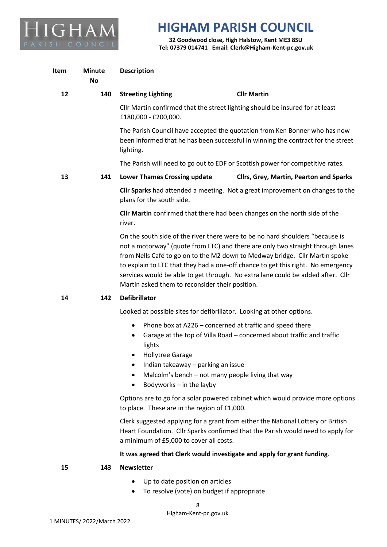

**32 Goodwood close, High Halstow, Kent ME3 8SU Tel: 07379 014741 Email: Clerk@Higham-Kent-pc.gov.uk**

| Item | <b>Minute</b><br><b>No</b> | <b>Description</b>                                                                                                                                                                                                                                                                                                                                                                                                                                                       |
|------|----------------------------|--------------------------------------------------------------------------------------------------------------------------------------------------------------------------------------------------------------------------------------------------------------------------------------------------------------------------------------------------------------------------------------------------------------------------------------------------------------------------|
| 12   | 140                        | <b>Streeting Lighting</b><br><b>Cllr Martin</b>                                                                                                                                                                                                                                                                                                                                                                                                                          |
|      |                            | Cllr Martin confirmed that the street lighting should be insured for at least<br>£180,000 - £200,000.                                                                                                                                                                                                                                                                                                                                                                    |
|      |                            | The Parish Council have accepted the quotation from Ken Bonner who has now<br>been informed that he has been successful in winning the contract for the street<br>lighting.                                                                                                                                                                                                                                                                                              |
|      |                            | The Parish will need to go out to EDF or Scottish power for competitive rates.                                                                                                                                                                                                                                                                                                                                                                                           |
| 13   | 141                        | <b>Lower Thames Crossing update</b><br><b>Cllrs, Grey, Martin, Pearton and Sparks</b>                                                                                                                                                                                                                                                                                                                                                                                    |
|      |                            | Cllr Sparks had attended a meeting. Not a great improvement on changes to the<br>plans for the south side.                                                                                                                                                                                                                                                                                                                                                               |
|      |                            | Cllr Martin confirmed that there had been changes on the north side of the<br>river.                                                                                                                                                                                                                                                                                                                                                                                     |
|      |                            | On the south side of the river there were to be no hard shoulders "because is<br>not a motorway" (quote from LTC) and there are only two straight through lanes<br>from Nells Café to go on to the M2 down to Medway bridge. Cllr Martin spoke<br>to explain to LTC that they had a one-off chance to get this right. No emergency<br>services would be able to get through. No extra lane could be added after. Cllr<br>Martin asked them to reconsider their position. |
| 14   | 142                        | <b>Defibrillator</b>                                                                                                                                                                                                                                                                                                                                                                                                                                                     |
|      |                            | Looked at possible sites for defibrillator. Looking at other options.                                                                                                                                                                                                                                                                                                                                                                                                    |
|      |                            | Phone box at A226 – concerned at traffic and speed there<br>$\bullet$<br>Garage at the top of Villa Road - concerned about traffic and traffic<br>$\bullet$<br>lights<br><b>Hollytree Garage</b><br>Indian takeaway - parking an issue                                                                                                                                                                                                                                   |
|      |                            | Malcolm's bench – not many people living that way<br>٠                                                                                                                                                                                                                                                                                                                                                                                                                   |
|      |                            | Bodyworks - in the layby<br>Options are to go for a solar powered cabinet which would provide more options<br>to place. These are in the region of £1,000.                                                                                                                                                                                                                                                                                                               |
|      |                            | Clerk suggested applying for a grant from either the National Lottery or British<br>Heart Foundation. Cllr Sparks confirmed that the Parish would need to apply for<br>a minimum of £5,000 to cover all costs.                                                                                                                                                                                                                                                           |
|      |                            | It was agreed that Clerk would investigate and apply for grant funding.                                                                                                                                                                                                                                                                                                                                                                                                  |
| 15   | 143                        | <b>Newsletter</b>                                                                                                                                                                                                                                                                                                                                                                                                                                                        |
|      |                            | Up to date position on articles<br>To resolve (vote) on budget if appropriate                                                                                                                                                                                                                                                                                                                                                                                            |
|      |                            |                                                                                                                                                                                                                                                                                                                                                                                                                                                                          |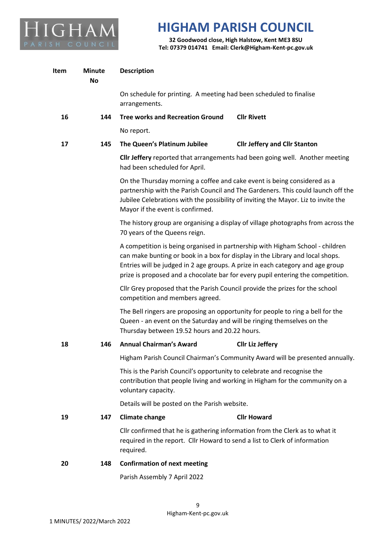

**32 Goodwood close, High Halstow, Kent ME3 8SU Tel: 07379 014741 Email: Clerk@Higham-Kent-pc.gov.uk**

|     | On schedule for printing. A meeting had been scheduled to finalise<br>arrangements.                                                                                     |                                                                                                                                                                                                                                                    |
|-----|-------------------------------------------------------------------------------------------------------------------------------------------------------------------------|----------------------------------------------------------------------------------------------------------------------------------------------------------------------------------------------------------------------------------------------------|
| 144 | <b>Tree works and Recreation Ground</b>                                                                                                                                 | <b>Cllr Rivett</b>                                                                                                                                                                                                                                 |
|     | No report.                                                                                                                                                              |                                                                                                                                                                                                                                                    |
| 145 | The Queen's Platinum Jubilee                                                                                                                                            | <b>Cllr Jeffery and Cllr Stanton</b>                                                                                                                                                                                                               |
|     | had been scheduled for April.                                                                                                                                           | <b>Cllr Jeffery</b> reported that arrangements had been going well. Another meeting                                                                                                                                                                |
|     | On the Thursday morning a coffee and cake event is being considered as a<br>Mayor if the event is confirmed.                                                            | partnership with the Parish Council and The Gardeners. This could launch off the<br>Jubilee Celebrations with the possibility of inviting the Mayor. Liz to invite the                                                                             |
|     | 70 years of the Queens reign.                                                                                                                                           | The history group are organising a display of village photographs from across the                                                                                                                                                                  |
|     | can make bunting or book in a box for display in the Library and local shops.                                                                                           | A competition is being organised in partnership with Higham School - children<br>Entries will be judged in 2 age groups. A prize in each category and age group<br>prize is proposed and a chocolate bar for every pupil entering the competition. |
|     | Cllr Grey proposed that the Parish Council provide the prizes for the school<br>competition and members agreed.                                                         |                                                                                                                                                                                                                                                    |
|     | Queen - an event on the Saturday and will be ringing themselves on the<br>Thursday between 19.52 hours and 20.22 hours.                                                 | The Bell ringers are proposing an opportunity for people to ring a bell for the                                                                                                                                                                    |
| 146 | <b>Annual Chairman's Award</b>                                                                                                                                          | <b>Cllr Liz Jeffery</b>                                                                                                                                                                                                                            |
|     |                                                                                                                                                                         | Higham Parish Council Chairman's Community Award will be presented annually.                                                                                                                                                                       |
|     | This is the Parish Council's opportunity to celebrate and recognise the<br>voluntary capacity.                                                                          | contribution that people living and working in Higham for the community on a                                                                                                                                                                       |
|     | Details will be posted on the Parish website.                                                                                                                           |                                                                                                                                                                                                                                                    |
| 147 | <b>Climate change</b>                                                                                                                                                   | <b>Cllr Howard</b>                                                                                                                                                                                                                                 |
|     | Cllr confirmed that he is gathering information from the Clerk as to what it<br>required in the report. Cllr Howard to send a list to Clerk of information<br>required. |                                                                                                                                                                                                                                                    |
| 148 | <b>Confirmation of next meeting</b>                                                                                                                                     |                                                                                                                                                                                                                                                    |
|     | Parish Assembly 7 April 2022                                                                                                                                            |                                                                                                                                                                                                                                                    |
|     |                                                                                                                                                                         |                                                                                                                                                                                                                                                    |